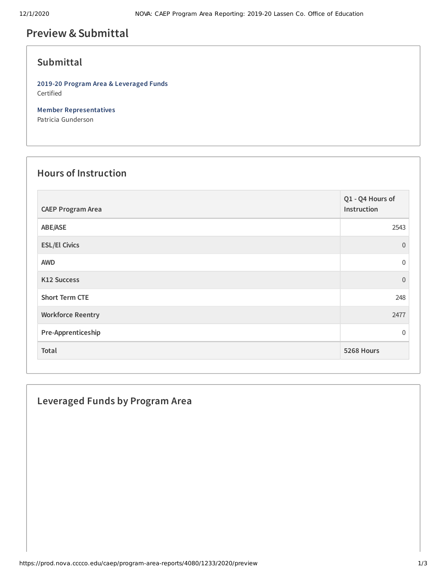# **Preview &Submittal**

#### **Submittal**

**2019-20 Program Area & Leveraged Funds** Certified

**Member Representatives** Patricia Gunderson

#### **Hours of Instruction**

| <b>CAEP Program Area</b> | Q1 - Q4 Hours of<br>Instruction |
|--------------------------|---------------------------------|
| ABE/ASE                  | 2543                            |
| <b>ESL/El Civics</b>     | $\mathbf{0}$                    |
| <b>AWD</b>               | $\overline{0}$                  |
| K12 Success              | $\overline{0}$                  |
| <b>Short Term CTE</b>    | 248                             |
| <b>Workforce Reentry</b> | 2477                            |
| Pre-Apprenticeship       | $\mathbf 0$                     |
| Total                    | 5268 Hours                      |

## **Leveraged Funds by Program Area**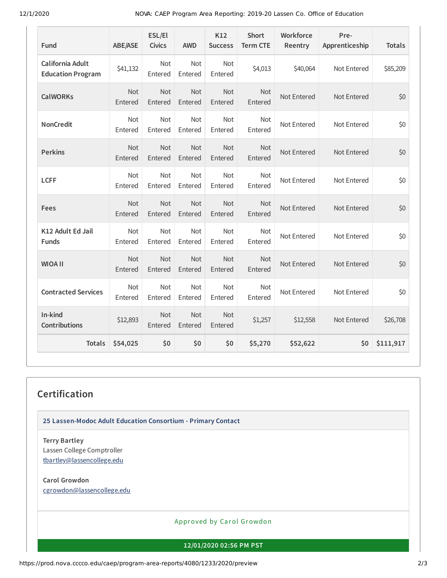12/1/2020 NOVA: CAEP Program Area Reporting: 2019-20 Lassen Co. Office of Education

| <b>Fund</b>                                  | <b>ABE/ASE</b> | ESL/El<br><b>Civics</b> | <b>AWD</b>            | K12<br><b>Success</b> | <b>Short</b><br><b>Term CTE</b> | Workforce<br>Reentry | Pre-<br>Apprenticeship | <b>Totals</b> |
|----------------------------------------------|----------------|-------------------------|-----------------------|-----------------------|---------------------------------|----------------------|------------------------|---------------|
| California Adult<br><b>Education Program</b> | \$41,132       | Not<br>Entered          | <b>Not</b><br>Entered | <b>Not</b><br>Entered | \$4,013                         | \$40,064             | Not Entered            | \$85,209      |
| <b>CalWORKs</b>                              | Not<br>Entered | <b>Not</b><br>Entered   | Not<br>Entered        | Not<br>Entered        | <b>Not</b><br>Entered           | Not Entered          | Not Entered            | \$0           |
| <b>NonCredit</b>                             | Not<br>Entered | Not<br>Entered          | Not<br>Entered        | Not<br>Entered        | Not<br>Entered                  | Not Entered          | Not Entered            | \$0           |
| <b>Perkins</b>                               | Not<br>Entered | Not<br>Entered          | Not<br>Entered        | Not<br>Entered        | Not<br>Entered                  | Not Entered          | Not Entered            | \$0           |
| <b>LCFF</b>                                  | Not<br>Entered | Not<br>Entered          | Not<br>Entered        | Not<br>Entered        | Not<br>Entered                  | Not Entered          | Not Entered            | \$0           |
| <b>Fees</b>                                  | Not<br>Entered | Not<br>Entered          | <b>Not</b><br>Entered | <b>Not</b><br>Entered | Not<br>Entered                  | Not Entered          | Not Entered            | \$0           |
| K12 Adult Ed Jail<br><b>Funds</b>            | Not<br>Entered | Not<br>Entered          | Not<br>Entered        | Not<br>Entered        | Not<br>Entered                  | Not Entered          | Not Entered            | \$0           |
| <b>WIOA II</b>                               | Not<br>Entered | <b>Not</b><br>Entered   | <b>Not</b><br>Entered | <b>Not</b><br>Entered | <b>Not</b><br>Entered           | Not Entered          | Not Entered            | \$0           |
| <b>Contracted Services</b>                   | Not<br>Entered | <b>Not</b><br>Entered   | <b>Not</b><br>Entered | Not<br>Entered        | Not<br>Entered                  | Not Entered          | Not Entered            | \$0           |
| In-kind<br><b>Contributions</b>              | \$12,893       | <b>Not</b><br>Entered   | <b>Not</b><br>Entered | <b>Not</b><br>Entered | \$1,257                         | \$12,558             | Not Entered            | \$26,708      |
| <b>Totals</b>                                | \$54,025       | \$0                     | \$0                   | \$0                   | \$5,270                         | \$52,622             | \$0                    | \$111,917     |

## **Certification**

**25 Lassen-Modoc Adult Education Consortium - Primary Contact**

**Terry Bartley** Lassen College Comptroller [tbartley@lassencollege.edu](mailto:tbartley@lassencollege.edu)

**Carol Growdon** [cgrowdon@lassencollege.edu](mailto:cgrowdon@lassencollege.edu)

Approved by Carol Growdon

**12/01/2020 02:56 PM PST**